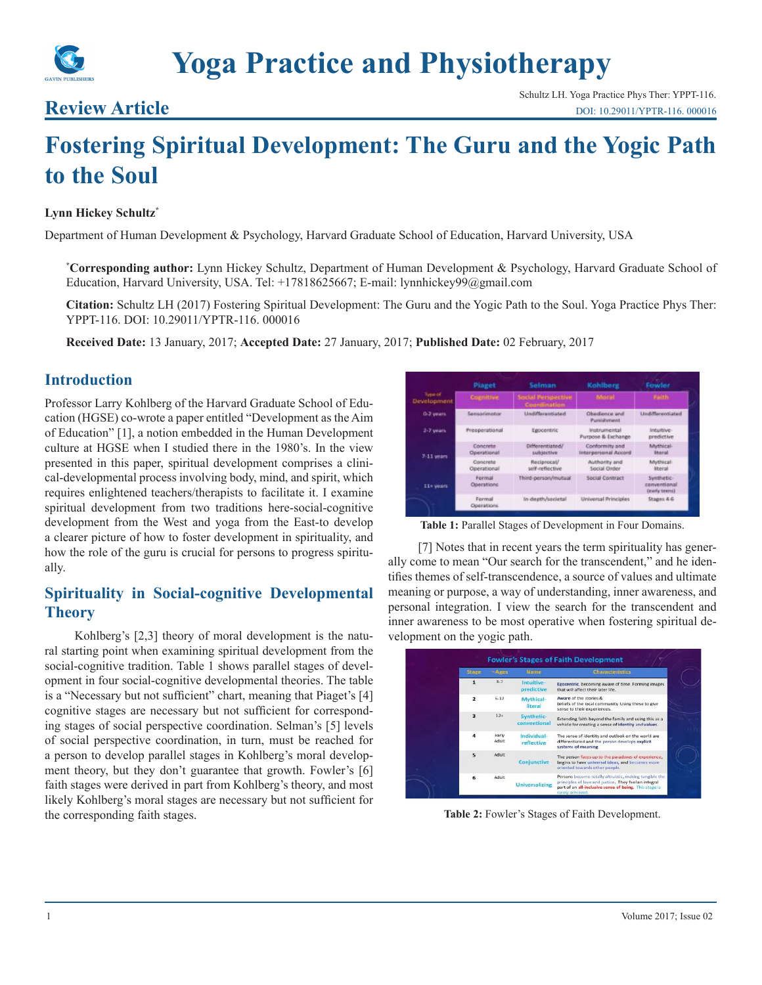# **Review Article**

Schultz LH. Yoga Practice Phys Ther: YPPT-116. [DOI: 10.29011/YPTR-116. 000016](http://doi.org/10.29011/YPTR-116. 000016)

# **Fostering Spiritual Development: The Guru and the Yogic Path to the Soul**

#### **Lynn Hickey Schultz\***

Department of Human Development & Psychology, Harvard Graduate School of Education, Harvard University, USA

**\* Corresponding author:** Lynn Hickey Schultz, Department of Human Development & Psychology, Harvard Graduate School of Education, Harvard University, USA. Tel: +17818625667; E-mail: lynnhickey99@gmail.com

**Citation:** Schultz LH (2017) Fostering Spiritual Development: The Guru and the Yogic Path to the Soul. Yoga Practice Phys Ther: YPPT-116. DOI: 10.29011/YPTR-116. 000016

**Received Date:** 13 January, 2017; **Accepted Date:** 27 January, 2017; **Published Date:** 02 February, 2017

## **Introduction**

Professor Larry Kohlberg of the Harvard Graduate School of Education (HGSE) co-wrote a paper entitled "Development as the Aim of Education" [1], a notion embedded in the Human Development culture at HGSE when I studied there in the 1980's. In the view presented in this paper, spiritual development comprises a clinical-developmental process involving body, mind, and spirit, which requires enlightened teachers/therapists to facilitate it. I examine spiritual development from two traditions here-social-cognitive development from the West and yoga from the East-to develop a clearer picture of how to foster development in spirituality, and how the role of the guru is crucial for persons to progress spiritually.

# **Spirituality in Social-cognitive Developmental Theory**

Kohlberg's [2,3] theory of moral development is the natural starting point when examining spiritual development from the social-cognitive tradition. Table 1 shows parallel stages of development in four social-cognitive developmental theories. The table is a "Necessary but not sufficient" chart, meaning that Piaget's [4] cognitive stages are necessary but not sufficient for corresponding stages of social perspective coordination. Selman's [5] levels of social perspective coordination, in turn, must be reached for a person to develop parallel stages in Kohlberg's moral development theory, but they don't guarantee that growth. Fowler's [6] faith stages were derived in part from Kohlberg's theory, and most likely Kohlberg's moral stages are necessary but not sufficient for the corresponding faith stages.

|                        | Plaget                         | Selman                                    | Kohlberg                               | Fowler                                      |
|------------------------|--------------------------------|-------------------------------------------|----------------------------------------|---------------------------------------------|
| Type of<br>Development | Cognitive                      | <b>Social Perspective</b><br>Coordination | Moral.                                 | Faith.                                      |
| 0-2 years              | Sensorimotor                   | Undifferentiated                          | Obedience and<br>Pumphment             | <b>Undifferentiated</b>                     |
| $2-7$ years.           | Prepperational                 | Epocentric                                | Instrumental<br>Purpose & Exchange     | intuitive-<br>predictive                    |
| $7-11$ years           | Concrete<br>Operational.       | Differentiated/<br>subjective             | Conformity and<br>Interpersonal Accord | Mlythicai-<br><b><i><u>Sternl</u></i></b>   |
|                        | Concrete<br><b>Operational</b> | Reciprocal/<br>self-reflective            | Authority and<br>Social Order          | Mythical<br><b>Ireral</b>                   |
| 11+ years              | Formal<br>Operations           | Third-person/mutual                       | Social Contract                        | Synthetic<br>conventional<br>(early teeris) |
|                        | Formal<br>Operations:          | In depth/secietal                         | Universal Principles                   | Stages 4-6                                  |

Table 1: Parallel Stages of Development in Four Domains.

[7] Notes that in recent years the term spirituality has generally come to mean "Our search for the transcendent," and he identifies themes of self-transcendence, a source of values and ultimate meaning or purpose, a way of understanding, inner awareness, and personal integration. I view the search for the transcendent and inner awareness to be most operative when fostering spiritual development on the yogic path.

| <b>Stage</b>            | $+A$ ges       | Name                       | <b>Characteristics</b>                                                                                                                                                    |
|-------------------------|----------------|----------------------------|---------------------------------------------------------------------------------------------------------------------------------------------------------------------------|
| 1                       | 3.7            | Intuitive-<br>predictive   | Egocentric, becoming aware of time. Forming images<br>that will affect their later life.                                                                                  |
| $\overline{z}$          | $6 - 12$       | Mythical-<br>literal       | Aware of the stories &<br>beliefs of the local community. Using these to give<br>sense to their experiences.                                                              |
| $\overline{\mathbf{3}}$ | 124            | Synthetic-<br>conventional | Extending faith beyond the family and using this as a<br>vehicle for creating a sense of identity and values.                                                             |
|                         | early<br>Adult | Individual-<br>reflective  | The sense of identity and outlook on the world are<br>differentiated and the person develops explicit<br>systems of meaning.                                              |
| $\overline{5}$          | Adult          | Conjunctive                | The person faces up to the paradoxes of experience,<br>begins to have universal ideas, and becomes more<br>oriented towards other people.                                 |
| 6                       | Adult          | <b>Universalizing</b>      | Persons become totally altruistic, making tangible the<br>principles of love and justice. They feel an integral<br>part of an all-inclusive sense of being. This stage is |

**Table 2:** Fowler's Stages of Faith Development.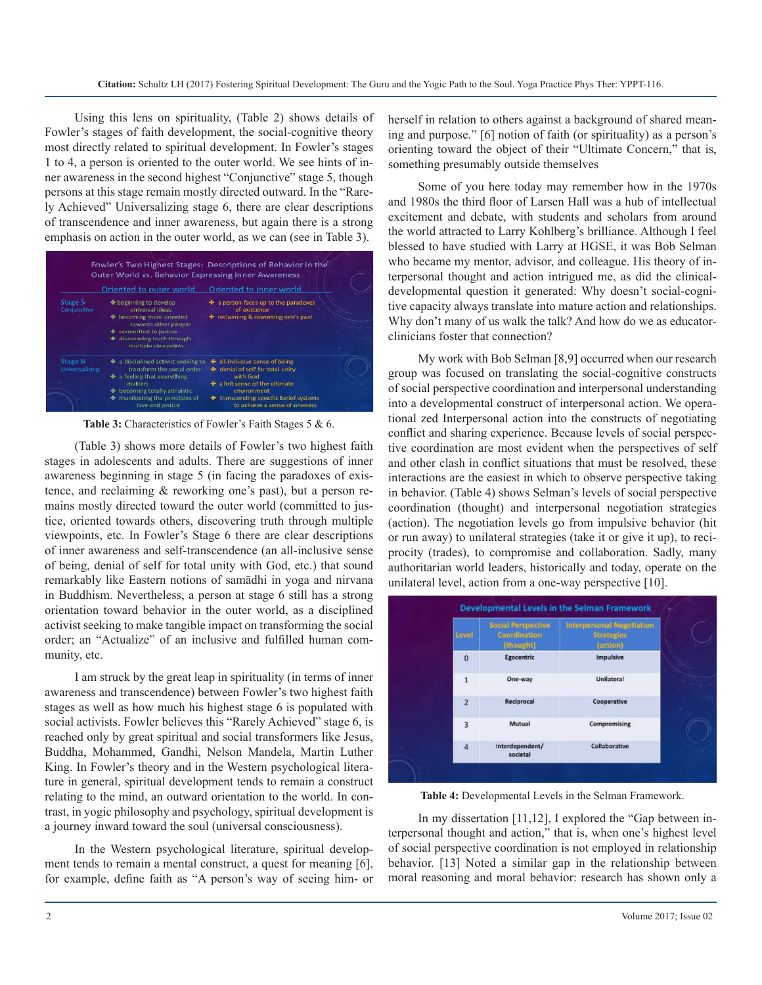Using this lens on spirituality, (Table 2) shows details of Fowler's stages of faith development, the social-cognitive theory most directly related to spiritual development. In Fowler's stages 1 to 4, a person is oriented to the outer world. We see hints of inner awareness in the second highest "Conjunctive" stage 5, though persons at this stage remain mostly directed outward. In the "Rarely Achieved" Universalizing stage 6, there are clear descriptions of transcendence and inner awareness, but again there is a strong emphasis on action in the outer world, as we can (see in Table 3).



**Table 3:** Characteristics of Fowler's Faith Stages 5 & 6.

(Table 3) shows more details of Fowler's two highest faith stages in adolescents and adults. There are suggestions of inner awareness beginning in stage 5 (in facing the paradoxes of existence, and reclaiming & reworking one's past), but a person remains mostly directed toward the outer world (committed to justice, oriented towards others, discovering truth through multiple viewpoints, etc. In Fowler's Stage 6 there are clear descriptions of inner awareness and self-transcendence (an all-inclusive sense of being, denial of self for total unity with God, etc.) that sound remarkably like Eastern notions of samādhi in yoga and nirvana in Buddhism. Nevertheless, a person at stage 6 still has a strong orientation toward behavior in the outer world, as a disciplined activist seeking to make tangible impact on transforming the social order; an "Actualize" of an inclusive and fulfilled human community, etc.

I am struck by the great leap in spirituality (in terms of inner awareness and transcendence) between Fowler's two highest faith stages as well as how much his highest stage 6 is populated with social activists. Fowler believes this "Rarely Achieved" stage 6, is reached only by great spiritual and social transformers like Jesus, Buddha, Mohammed, Gandhi, Nelson Mandela, Martin Luther King. In Fowler's theory and in the Western psychological literature in general, spiritual development tends to remain a construct relating to the mind, an outward orientation to the world. In contrast, in yogic philosophy and psychology, spiritual development is a journey inward toward the soul (universal consciousness).

In the Western psychological literature, spiritual development tends to remain a mental construct, a quest for meaning [6], for example, define faith as "A person's way of seeing him- or herself in relation to others against a background of shared meaning and purpose." [6] notion of faith (or spirituality) as a person's orienting toward the object of their "Ultimate Concern," that is, something presumably outside themselves

Some of you here today may remember how in the 1970s and 1980s the third floor of Larsen Hall was a hub of intellectual excitement and debate, with students and scholars from around the world attracted to Larry Kohlberg's brilliance. Although I feel blessed to have studied with Larry at HGSE, it was Bob Selman who became my mentor, advisor, and colleague. His theory of interpersonal thought and action intrigued me, as did the clinicaldevelopmental question it generated: Why doesn't social-cognitive capacity always translate into mature action and relationships. Why don't many of us walk the talk? And how do we as educatorclinicians foster that connection?

My work with Bob Selman [8,9] occurred when our research group was focused on translating the social-cognitive constructs of social perspective coordination and interpersonal understanding into a developmental construct of interpersonal action. We operational zed Interpersonal action into the constructs of negotiating conflict and sharing experience. Because levels of social perspective coordination are most evident when the perspectives of self and other clash in conflict situations that must be resolved, these interactions are the easiest in which to observe perspective taking in behavior. (Table 4) shows Selman's levels of social perspective coordination (thought) and interpersonal negotiation strategies (action). The negotiation levels go from impulsive behavior (hit or run away) to unilateral strategies (take it or give it up), to reciprocity (trades), to compromise and collaboration. Sadly, many authoritarian world leaders, historically and today, operate on the unilateral level, action from a one-way perspective [10].

| Level          | <b>Social Perspective</b><br>Coordination<br>(thought) | <b>Interpersonal Negotiation</b><br><b>Strategies</b><br>(action) |
|----------------|--------------------------------------------------------|-------------------------------------------------------------------|
| $\bf{0}$       | Egocentric                                             | Impulsive                                                         |
| $\overline{1}$ | One-way                                                | Unilateral                                                        |
| $\overline{2}$ | Reciprocal                                             | Cooperative                                                       |
| 3              | Mutual                                                 | Compromising                                                      |
| 4              | Interdependent/<br>societal                            | Collaborative                                                     |

**Table 4:** Developmental Levels in the Selman Framework.

In my dissertation [11,12], I explored the "Gap between interpersonal thought and action," that is, when one's highest level of social perspective coordination is not employed in relationship behavior. [13] Noted a similar gap in the relationship between moral reasoning and moral behavior: research has shown only a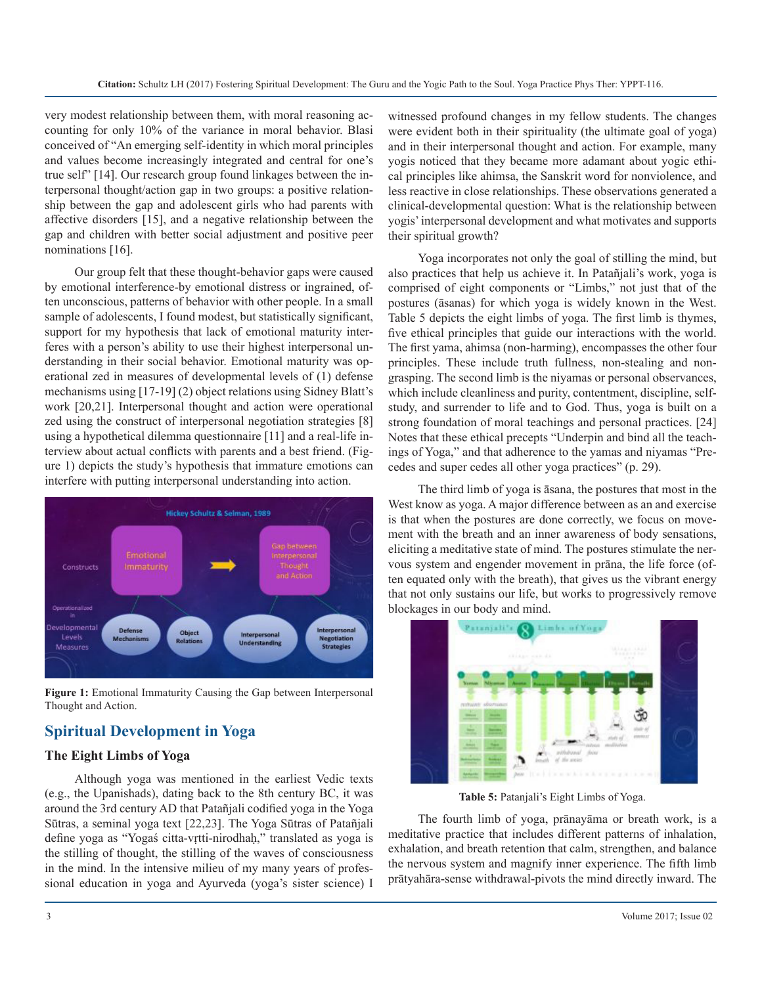very modest relationship between them, with moral reasoning accounting for only 10% of the variance in moral behavior. Blasi conceived of "An emerging self-identity in which moral principles and values become increasingly integrated and central for one's true self" [14]. Our research group found linkages between the interpersonal thought/action gap in two groups: a positive relationship between the gap and adolescent girls who had parents with affective disorders [15], and a negative relationship between the gap and children with better social adjustment and positive peer nominations [16].

Our group felt that these thought-behavior gaps were caused by emotional interference-by emotional distress or ingrained, often unconscious, patterns of behavior with other people. In a small sample of adolescents, I found modest, but statistically significant, support for my hypothesis that lack of emotional maturity interferes with a person's ability to use their highest interpersonal understanding in their social behavior. Emotional maturity was operational zed in measures of developmental levels of (1) defense mechanisms using [17-19] (2) object relations using Sidney Blatt's work [20,21]. Interpersonal thought and action were operational zed using the construct of interpersonal negotiation strategies [8] using a hypothetical dilemma questionnaire [11] and a real-life interview about actual conflicts with parents and a best friend. (Figure 1) depicts the study's hypothesis that immature emotions can interfere with putting interpersonal understanding into action.



**Figure 1:** Emotional Immaturity Causing the Gap between Interpersonal Thought and Action.

# **Spiritual Development in Yoga**

#### **The Eight Limbs of Yoga**

Although yoga was mentioned in the earliest Vedic texts (e.g., the Upanishads), dating back to the 8th century BC, it was around the 3rd century AD that Patañjali codified yoga in the Yoga Sūtras, a seminal yoga text [22,23]. The Yoga Sūtras of Patañjali define yoga as "Yogaś citta-vṛtti-nirodhaḥ," translated as yoga is the stilling of thought, the stilling of the waves of consciousness in the mind. In the intensive milieu of my many years of professional education in yoga and Ayurveda (yoga's sister science) I

witnessed profound changes in my fellow students. The changes were evident both in their spirituality (the ultimate goal of yoga) and in their interpersonal thought and action. For example, many yogis noticed that they became more adamant about yogic ethical principles like ahimsa, the Sanskrit word for nonviolence, and less reactive in close relationships. These observations generated a clinical-developmental question: What is the relationship between yogis' interpersonal development and what motivates and supports their spiritual growth?

Yoga incorporates not only the goal of stilling the mind, but also practices that help us achieve it. In Patañjali's work, yoga is comprised of eight components or "Limbs," not just that of the postures (āsanas) for which yoga is widely known in the West. Table 5 depicts the eight limbs of yoga. The first limb is thymes, five ethical principles that guide our interactions with the world. The first yama, ahimsa (non-harming), encompasses the other four principles. These include truth fullness, non-stealing and nongrasping. The second limb is the niyamas or personal observances, which include cleanliness and purity, contentment, discipline, selfstudy, and surrender to life and to God. Thus, yoga is built on a strong foundation of moral teachings and personal practices. [24] Notes that these ethical precepts "Underpin and bind all the teachings of Yoga," and that adherence to the yamas and niyamas "Precedes and super cedes all other yoga practices" (p. 29).

The third limb of yoga is āsana, the postures that most in the West know as yoga. A major difference between as an and exercise is that when the postures are done correctly, we focus on movement with the breath and an inner awareness of body sensations, eliciting a meditative state of mind. The postures stimulate the nervous system and engender movement in prāna, the life force (often equated only with the breath), that gives us the vibrant energy that not only sustains our life, but works to progressively remove blockages in our body and mind.



**Table 5:** Patanjali's Eight Limbs of Yoga.

The fourth limb of yoga, prānayāma or breath work, is a meditative practice that includes different patterns of inhalation, exhalation, and breath retention that calm, strengthen, and balance the nervous system and magnify inner experience. The fifth limb prātyahāra-sense withdrawal-pivots the mind directly inward. The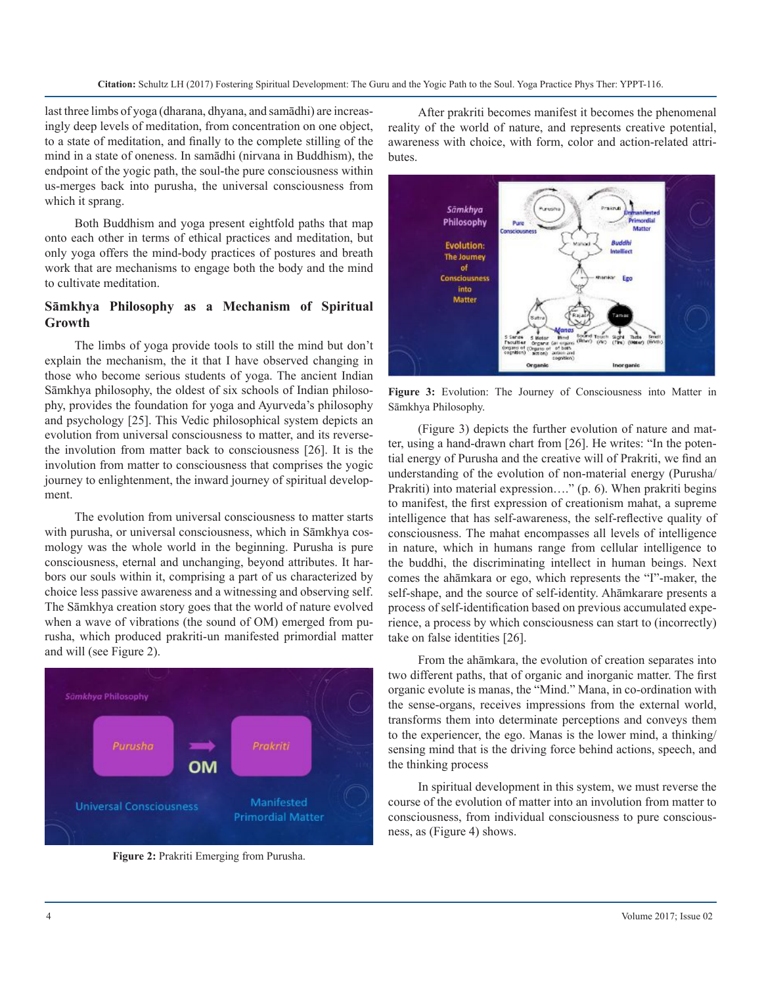last three limbs of yoga (dharana, dhyana, and samādhi) are increasingly deep levels of meditation, from concentration on one object, to a state of meditation, and finally to the complete stilling of the mind in a state of oneness. In samādhi (nirvana in Buddhism), the endpoint of the yogic path, the soul-the pure consciousness within us-merges back into purusha, the universal consciousness from which it sprang.

Both Buddhism and yoga present eightfold paths that map onto each other in terms of ethical practices and meditation, but only yoga offers the mind-body practices of postures and breath work that are mechanisms to engage both the body and the mind to cultivate meditation.

## **Sāmkhya Philosophy as a Mechanism of Spiritual Growth**

The limbs of yoga provide tools to still the mind but don't explain the mechanism, the it that I have observed changing in those who become serious students of yoga. The ancient Indian Sāmkhya philosophy, the oldest of six schools of Indian philosophy, provides the foundation for yoga and Ayurveda's philosophy and psychology [25]. This Vedic philosophical system depicts an evolution from universal consciousness to matter, and its reversethe involution from matter back to consciousness [26]. It is the involution from matter to consciousness that comprises the yogic journey to enlightenment, the inward journey of spiritual development.

The evolution from universal consciousness to matter starts with purusha, or universal consciousness, which in Sāmkhya cosmology was the whole world in the beginning. Purusha is pure consciousness, eternal and unchanging, beyond attributes. It harbors our souls within it, comprising a part of us characterized by choice less passive awareness and a witnessing and observing self. The Sāmkhya creation story goes that the world of nature evolved when a wave of vibrations (the sound of OM) emerged from purusha, which produced prakriti-un manifested primordial matter and will (see Figure 2).



**Figure 2:** Prakriti Emerging from Purusha.

After prakriti becomes manifest it becomes the phenomenal reality of the world of nature, and represents creative potential, awareness with choice, with form, color and action-related attributes.



**Figure 3:** Evolution: The Journey of Consciousness into Matter in Sāmkhya Philosophy.

(Figure 3) depicts the further evolution of nature and matter, using a hand-drawn chart from [26]. He writes: "In the potential energy of Purusha and the creative will of Prakriti, we find an understanding of the evolution of non-material energy (Purusha/ Prakriti) into material expression…." (p. 6). When prakriti begins to manifest, the first expression of creationism mahat, a supreme intelligence that has self-awareness, the self-reflective quality of consciousness. The mahat encompasses all levels of intelligence in nature, which in humans range from cellular intelligence to the buddhi, the discriminating intellect in human beings. Next comes the ahāmkara or ego, which represents the "I"-maker, the self-shape, and the source of self-identity. Ahāmkarare presents a process of self-identification based on previous accumulated experience, a process by which consciousness can start to (incorrectly) take on false identities [26].

From the ahāmkara, the evolution of creation separates into two different paths, that of organic and inorganic matter. The first organic evolute is manas, the "Mind." Mana, in co-ordination with the sense-organs, receives impressions from the external world, transforms them into determinate perceptions and conveys them to the experiencer, the ego. Manas is the lower mind, a thinking/ sensing mind that is the driving force behind actions, speech, and the thinking process

In spiritual development in this system, we must reverse the course of the evolution of matter into an involution from matter to consciousness, from individual consciousness to pure consciousness, as (Figure 4) shows.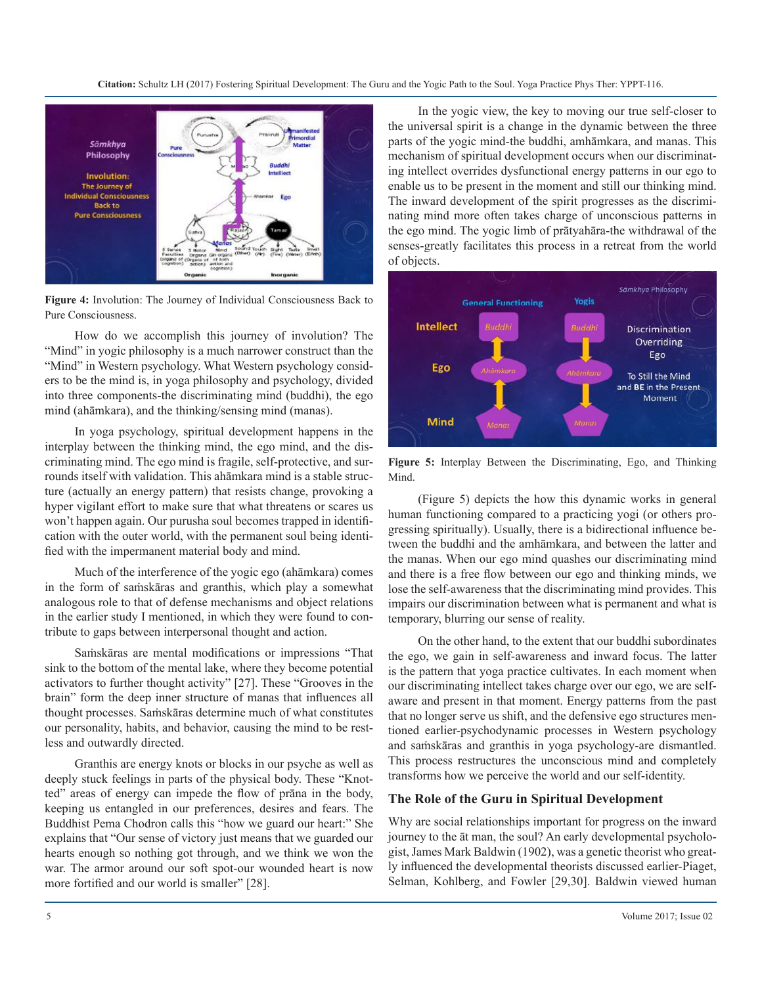**Citation:** Schultz LH (2017) Fostering Spiritual Development: The Guru and the Yogic Path to the Soul. Yoga Practice Phys Ther: YPPT-116.



**Figure 4:** Involution: The Journey of Individual Consciousness Back to Pure Consciousness.

How do we accomplish this journey of involution? The "Mind" in yogic philosophy is a much narrower construct than the "Mind" in Western psychology. What Western psychology considers to be the mind is, in yoga philosophy and psychology, divided into three components-the discriminating mind (buddhi), the ego mind (ahāmkara), and the thinking/sensing mind (manas).

In yoga psychology, spiritual development happens in the interplay between the thinking mind, the ego mind, and the discriminating mind. The ego mind is fragile, self-protective, and surrounds itself with validation. This ahāmkara mind is a stable structure (actually an energy pattern) that resists change, provoking a hyper vigilant effort to make sure that what threatens or scares us won't happen again. Our purusha soul becomes trapped in identification with the outer world, with the permanent soul being identified with the impermanent material body and mind.

Much of the interference of the yogic ego (ahāmkara) comes in the form of saṁskāras and granthis, which play a somewhat analogous role to that of defense mechanisms and object relations in the earlier study I mentioned, in which they were found to contribute to gaps between interpersonal thought and action.

Saṁskāras are mental modifications or impressions "That sink to the bottom of the mental lake, where they become potential activators to further thought activity" [27]. These "Grooves in the brain" form the deep inner structure of manas that influences all thought processes. Saṁskāras determine much of what constitutes our personality, habits, and behavior, causing the mind to be restless and outwardly directed.

Granthis are energy knots or blocks in our psyche as well as deeply stuck feelings in parts of the physical body. These "Knotted" areas of energy can impede the flow of prāna in the body, keeping us entangled in our preferences, desires and fears. The Buddhist Pema Chodron calls this "how we guard our heart:" She explains that "Our sense of victory just means that we guarded our hearts enough so nothing got through, and we think we won the war. The armor around our soft spot-our wounded heart is now more fortified and our world is smaller" [28].

In the yogic view, the key to moving our true self-closer to the universal spirit is a change in the dynamic between the three parts of the yogic mind-the buddhi, amhāmkara, and manas. This mechanism of spiritual development occurs when our discriminating intellect overrides dysfunctional energy patterns in our ego to enable us to be present in the moment and still our thinking mind. The inward development of the spirit progresses as the discriminating mind more often takes charge of unconscious patterns in the ego mind. The yogic limb of prātyahāra-the withdrawal of the senses-greatly facilitates this process in a retreat from the world of objects.



**Figure 5:** Interplay Between the Discriminating, Ego, and Thinking Mind.

(Figure 5) depicts the how this dynamic works in general human functioning compared to a practicing yogi (or others progressing spiritually). Usually, there is a bidirectional influence between the buddhi and the amhāmkara, and between the latter and the manas. When our ego mind quashes our discriminating mind and there is a free flow between our ego and thinking minds, we lose the self-awareness that the discriminating mind provides. This impairs our discrimination between what is permanent and what is temporary, blurring our sense of reality.

On the other hand, to the extent that our buddhi subordinates the ego, we gain in self-awareness and inward focus. The latter is the pattern that yoga practice cultivates. In each moment when our discriminating intellect takes charge over our ego, we are selfaware and present in that moment. Energy patterns from the past that no longer serve us shift, and the defensive ego structures mentioned earlier-psychodynamic processes in Western psychology and saṁskāras and granthis in yoga psychology-are dismantled. This process restructures the unconscious mind and completely transforms how we perceive the world and our self-identity.

#### **The Role of the Guru in Spiritual Development**

Why are social relationships important for progress on the inward journey to the āt man, the soul? An early developmental psychologist, James Mark Baldwin (1902), was a genetic theorist who greatly influenced the developmental theorists discussed earlier-Piaget, Selman, Kohlberg, and Fowler [29,30]. Baldwin viewed human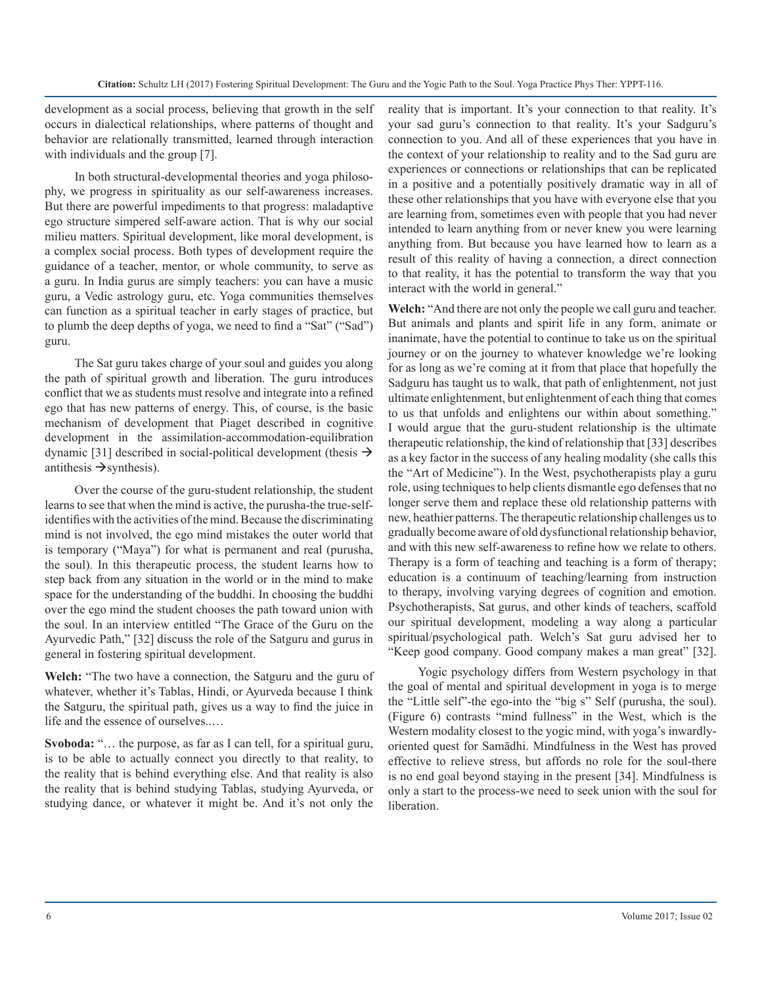development as a social process, believing that growth in the self occurs in dialectical relationships, where patterns of thought and behavior are relationally transmitted, learned through interaction with individuals and the group [7].

In both structural-developmental theories and yoga philosophy, we progress in spirituality as our self-awareness increases. But there are powerful impediments to that progress: maladaptive ego structure simpered self-aware action. That is why our social milieu matters. Spiritual development, like moral development, is a complex social process. Both types of development require the guidance of a teacher, mentor, or whole community, to serve as a guru. In India gurus are simply teachers: you can have a music guru, a Vedic astrology guru, etc. Yoga communities themselves can function as a spiritual teacher in early stages of practice, but to plumb the deep depths of yoga, we need to find a "Sat" ("Sad") guru.

The Sat guru takes charge of your soul and guides you along the path of spiritual growth and liberation. The guru introduces conflict that we as students must resolve and integrate into a refined ego that has new patterns of energy. This, of course, is the basic mechanism of development that Piaget described in cognitive development in the assimilation-accommodation-equilibration dynamic [31] described in social-political development (thesis  $\rightarrow$ antithesis  $\rightarrow$  synthesis).

Over the course of the guru-student relationship, the student learns to see that when the mind is active, the purusha-the true-selfidentifies with the activities of the mind. Because the discriminating mind is not involved, the ego mind mistakes the outer world that is temporary ("Maya") for what is permanent and real (purusha, the soul). In this therapeutic process, the student learns how to step back from any situation in the world or in the mind to make space for the understanding of the buddhi. In choosing the buddhi over the ego mind the student chooses the path toward union with the soul. In an interview entitled "The Grace of the Guru on the Ayurvedic Path," [32] discuss the role of the Satguru and gurus in general in fostering spiritual development.

**Welch:** "The two have a connection, the Satguru and the guru of whatever, whether it's Tablas, Hindi, or Ayurveda because I think the Satguru, the spiritual path, gives us a way to find the juice in life and the essence of ourselves..…

**Svoboda:** "… the purpose, as far as I can tell, for a spiritual guru, is to be able to actually connect you directly to that reality, to the reality that is behind everything else. And that reality is also the reality that is behind studying Tablas, studying Ayurveda, or studying dance, or whatever it might be. And it's not only the reality that is important. It's your connection to that reality. It's your sad guru's connection to that reality. It's your Sadguru's connection to you. And all of these experiences that you have in the context of your relationship to reality and to the Sad guru are experiences or connections or relationships that can be replicated in a positive and a potentially positively dramatic way in all of these other relationships that you have with everyone else that you are learning from, sometimes even with people that you had never intended to learn anything from or never knew you were learning anything from. But because you have learned how to learn as a result of this reality of having a connection, a direct connection to that reality, it has the potential to transform the way that you interact with the world in general."

**Welch:** "And there are not only the people we call guru and teacher. But animals and plants and spirit life in any form, animate or inanimate, have the potential to continue to take us on the spiritual journey or on the journey to whatever knowledge we're looking for as long as we're coming at it from that place that hopefully the Sadguru has taught us to walk, that path of enlightenment, not just ultimate enlightenment, but enlightenment of each thing that comes to us that unfolds and enlightens our within about something." I would argue that the guru-student relationship is the ultimate therapeutic relationship, the kind of relationship that [33] describes as a key factor in the success of any healing modality (she calls this the "Art of Medicine"). In the West, psychotherapists play a guru role, using techniques to help clients dismantle ego defenses that no longer serve them and replace these old relationship patterns with new, heathier patterns. The therapeutic relationship challenges us to gradually become aware of old dysfunctional relationship behavior, and with this new self-awareness to refine how we relate to others. Therapy is a form of teaching and teaching is a form of therapy; education is a continuum of teaching/learning from instruction to therapy, involving varying degrees of cognition and emotion. Psychotherapists, Sat gurus, and other kinds of teachers, scaffold our spiritual development, modeling a way along a particular spiritual/psychological path. Welch's Sat guru advised her to "Keep good company. Good company makes a man great" [32].

Yogic psychology differs from Western psychology in that the goal of mental and spiritual development in yoga is to merge the "Little self"-the ego-into the "big s" Self (purusha, the soul). (Figure 6) contrasts "mind fullness" in the West, which is the Western modality closest to the yogic mind, with yoga's inwardlyoriented quest for Samādhi. Mindfulness in the West has proved effective to relieve stress, but affords no role for the soul-there is no end goal beyond staying in the present [34]. Mindfulness is only a start to the process-we need to seek union with the soul for liberation.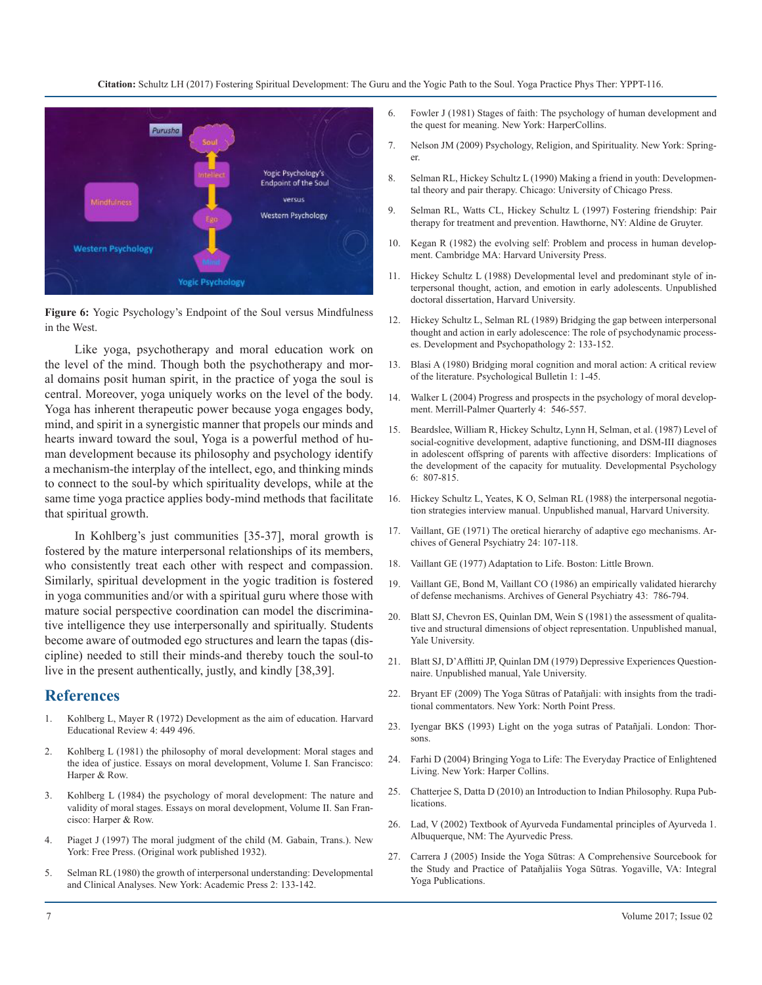**Citation:** Schultz LH (2017) Fostering Spiritual Development: The Guru and the Yogic Path to the Soul. Yoga Practice Phys Ther: YPPT-116.



**Figure 6:** Yogic Psychology's Endpoint of the Soul versus Mindfulness in the West.

Like yoga, psychotherapy and moral education work on the level of the mind. Though both the psychotherapy and mor[al domains posit human spirit, in the practice of yoga the soul is](http://psycnet.apa.org/psycinfo/1980-27628-001)  central. Moreover, yoga uniquely works on the level of the body. [Yoga has inherent therapeutic power because yoga engages body,](https://muse.jhu.edu/article/173864/summary)  mind, and spirit in a synergistic manner that propels our minds and [hearts inward toward the soul, Yoga is a powerful method of hu](http://psycnet.apa.org/journals/dev/23/6/807/)man development because its philosophy and psychology identify a mechanism-the interplay of the intellect, ego, and thinking minds to connect to the soul-by which spirituality develops, while at the same time yoga practice applies body-mind methods that facilitate that spiritual growth.

[In Kohlberg's just communities \[35-37\], moral growth is](http://jamanetwork.com/journals/jamapsychiatry/article-abstract/490388)  fostered by the mature interpersonal relationships of its members, who consistently treat each other with respect and compassion. Similarly, spiritual development in the yogic tradition is fostered [in yoga communities and/or with a spiritual guru where those with](https://www.ncbi.nlm.nih.gov/pubmed/3729674)  mature social perspective coordination can model the discriminative intelligence they use interpersonally and spiritually. Students become aware of outmoded ego structures and learn the tapas (discipline) needed to still their minds-and thereby touch the soul-to live in the present authentically, justly, and kindly [38,39].

### **References**

- 1. [Kohlberg L, Mayer R \(1972\) Development as the aim of education. Harvard](http://sociologia.davidjustino.com/wp-content/uploads/2012/11/KOHLBERG1972_Development_Aim_Education.pdf) [Educational Review 4: 449 496](http://sociologia.davidjustino.com/wp-content/uploads/2012/11/KOHLBERG1972_Development_Aim_Education.pdf).
- 2. [Kohlberg L \(1981\) the philosophy of moral development: Moral stages and](https://philpapers.org/rec/KOHTPO-6)  [the idea of justice. Essays on moral development, Volume I. San Francisco:](https://philpapers.org/rec/KOHTPO-6) [Harper & Row.](https://philpapers.org/rec/KOHTPO-6)
- 3. Kohlberg L (1984) the psychology of moral development: The nature and [validity of moral stages. Essays on moral development, Volume II. San Fran](https://books.google.co.in/books?hl=en&lr=&id=PlupnDEr5iAC&oi=fnd&pg=PR7&dq=an+Introduction+to+Indian+Philosophy&ots=7xgweknKLg&sig=il-7Vi0Tb-Do6tZY071LTSrZxGw#v=onepage&q=an Introduction to Indian Philosophy&f=false)cisco: Harper & Row.
- 4. [Piaget J \(1997\) The moral judgment of the child \(M. Gabain, Trans.\). New](http://indianmedicine.eldoc.ub.rug.nl/root/L2/195l/)  York: Free Press. (Original work published 1932).
- 5. [Selman RL \(1980\) the growth of interpersonal understanding: Developmental](http://www.tandfonline.com/doi/abs/10.1080/0305724820110208?journalCode=cjme20) [and Clinical Analyses. New York: Academic Press 2: 133-14](http://www.tandfonline.com/doi/abs/10.1080/0305724820110208?journalCode=cjme20)2.
- 6. [Fowler J \(1981\) Stages of faith: The psychology of human development and](https://philpapers.org/rec/FOWSOF-2)  [the quest for meaning. New York: HarperCollins.](https://philpapers.org/rec/FOWSOF-2)
- 7. [Nelson JM \(2009\) Psychology, Religion, and Spirituality. New York: Spring](http://simbi.kemenag.go.id/pustaka/images/materibuku/psychology-religion-and-spirituality.pdf)[er.](http://simbi.kemenag.go.id/pustaka/images/materibuku/psychology-religion-and-spirituality.pdf)
- 8. [Selman RL, Hickey Schultz L \(1990\) Making a friend in youth: Developmen](https://books.google.co.in/books/about/Making_a_Friend_in_Youth.html?id=MJa9Cv6BJfoC&redir_esc=y)[tal theory and pair therapy. Chicago: University of Chicago Press.](https://books.google.co.in/books/about/Making_a_Friend_in_Youth.html?id=MJa9Cv6BJfoC&redir_esc=y)
- 9. [Selman RL, Watts CL, Hickey Schultz L \(1997\) Fostering friendship: Pair](http://www.transactionpub.com/title/Fostering-Friendship-978-0-202-36095-9.html) [therapy for treatment and prevention. Hawthorne, NY: Aldine de Gruyter.](http://www.transactionpub.com/title/Fostering-Friendship-978-0-202-36095-9.html)
- 10. [Kegan R \(1982\) the evolving self: Problem and process in human develop](https://books.google.co.in/books?hl=en&lr=&id=nQNLO1uCLXgC&oi=fnd&pg=PA1&dq=the+evolving+self:+Problem+and+process+in+human+development&ots=JyaNr0kVtE&sig=g3tlNmYPtC6TDcDzS555k5MafNk#v=onepage&q=the evolving self%3A Problem and process in hum)[ment. Cambridge MA: Harvard University Press.](https://books.google.co.in/books?hl=en&lr=&id=nQNLO1uCLXgC&oi=fnd&pg=PA1&dq=the+evolving+self:+Problem+and+process+in+human+development&ots=JyaNr0kVtE&sig=g3tlNmYPtC6TDcDzS555k5MafNk#v=onepage&q=the evolving self%3A Problem and process in hum)
- 11. [Hickey Schultz L \(1988\) Developmental level and predominant style of in](https://www.researchgate.net/publication/35334283_Developmental_level_and_predominant_style_of_interpersonal_thought_action_and_emotion_in_early_adolescents)[terpersonal thought, action, and emotion in early adolescents. Unpublished](https://www.researchgate.net/publication/35334283_Developmental_level_and_predominant_style_of_interpersonal_thought_action_and_emotion_in_early_adolescents)  [doctoral dissertation, Harvard University.](https://www.researchgate.net/publication/35334283_Developmental_level_and_predominant_style_of_interpersonal_thought_action_and_emotion_in_early_adolescents)
- 12. [Hickey Schultz L, Selman RL \(1989\) Bridging the gap between interpersonal](https://www.cambridge.org/core/journals/development-and-psychopathology/article/div-classtitlebridging-the-gap-between-interpersonal-thought-and-action-in-early-adolescence-the-role-of-psychodynamic-processesdiv/A666CCF9AE4A132623109F02E5D57335) [thought and action in early adolescence: The role of psychodynamic process](https://www.cambridge.org/core/journals/development-and-psychopathology/article/div-classtitlebridging-the-gap-between-interpersonal-thought-and-action-in-early-adolescence-the-role-of-psychodynamic-processesdiv/A666CCF9AE4A132623109F02E5D57335)[es. Development and Psychopathology 2: 133-152](https://www.cambridge.org/core/journals/development-and-psychopathology/article/div-classtitlebridging-the-gap-between-interpersonal-thought-and-action-in-early-adolescence-the-role-of-psychodynamic-processesdiv/A666CCF9AE4A132623109F02E5D57335).
- 13. [Blasi A \(1980\) Bridging moral cognition and moral action: A critical review](http://psycnet.apa.org/psycinfo/1980-27628-001) of the literature. Psychological Bulletin 1: 1-45.
- 14. [Walker L \(2004\) Progress and prospects in the psychology of moral develop](https://muse.jhu.edu/article/173864/summary)ment. Merrill-Palmer Quarterly 4: 546-557.
- 15. [Beardslee, William R, Hickey Schultz, Lynn H, Selman, et al. \(1987\) Level of](http://psycnet.apa.org/journals/dev/23/6/807/) social-cognitive development, adaptive functioning, and DSM-III diagnoses [in adolescent offspring of parents with affective disorders: Implications of](http://psycnet.apa.org/journals/dev/23/6/807/)  [the development of the capacity for mutuality. Developmental Psychology](http://psycnet.apa.org/journals/dev/23/6/807/)  [6: 807-815.](http://psycnet.apa.org/journals/dev/23/6/807/)
- 16. Hickey Schultz L, Yeates, K O, Selman RL (1988) the interpersonal negotiation strategies interview manual. Unpublished manual, Harvard University.
- 17. [Vaillant, GE \(1971\) The oretical hierarchy of adaptive ego mechanisms. Ar](http://jamanetwork.com/journals/jamapsychiatry/article-abstract/490388)chives of General Psychiatry 24: 107-118.
- 18. [Vaillant GE \(1977\) Adaptation to Life. Boston: Little Brown.](https://books.google.co.in/books?hl=en&lr=&id=dtJohB1xC98C&oi=fnd&pg=PR7&dq=Adaptation+to+Life&ots=5TJwXfZwRb&sig=HxTRATzdPNOeYqmwqUmNgCwk-QU#v=onepage&q=Adaptation to Life&f=false)
- 19. [Vaillant GE, Bond M, Vaillant CO \(1986\) an empirically validated hierarchy](https://www.ncbi.nlm.nih.gov/pubmed/3729674)  of defense mechanisms. Archives of General Psychiatry 43: 786-794.
- 20. Blatt SJ, Chevron ES, Quinlan DM, Wein S (1981) the assessment of qualitative and structural dimensions of object representation. Unpublished manual, Yale University.
- 21. Blatt SJ, D'Afflitti JP, Quinlan DM (1979) Depressive Experiences Questionnaire. Unpublished manual, Yale University.
- 22. [Bryant EF \(2009\) The Yoga Sūtras of Patañjali: with insights from the tradi](https://philpapers.org/rec/BRYTYS)[tional commentators. New York: North Point Press.](https://philpapers.org/rec/BRYTYS)
- 23. Iyengar BKS (1993) Light on the yoga sutras of Patañjali. London: Thorsons.
- 24. [Farhi D \(2004\) Bringing Yoga to Life: The Everyday Practice of Enlightened](https://www.byronyoga.com/bringing-yoga-to-life/) [Living. New York: Harper Collins.](https://www.byronyoga.com/bringing-yoga-to-life/)
- 25. [Chatterjee S, Datta D \(2010\) an Introduction to Indian Philosophy. Rupa Pub](https://books.google.co.in/books?hl=en&lr=&id=PlupnDEr5iAC&oi=fnd&pg=PR7&dq=an+Introduction+to+Indian+Philosophy&ots=7xgweknKLg&sig=il-7Vi0Tb-Do6tZY071LTSrZxGw#v=onepage&q=an Introduction to Indian Philosophy&f=false)lications.
- 26. [Lad, V \(2002\) Textbook of Ayurveda Fundamental principles of Ayurveda 1.](http://indianmedicine.eldoc.ub.rug.nl/root/L2/195l/)  Albuquerque, NM: The Ayurvedic Press.
- 27. [Carrera J \(2005\) Inside the Yoga Sūtras: A Comprehensive Sourcebook for](https://zrgdthfyjgu.files.wordpress.com/2017/02/inside-the-yoga-sutras-a.pdf)  [the Study and Practice of Patañjaliis Yoga Sūtras. Yogaville, VA: Integral](https://zrgdthfyjgu.files.wordpress.com/2017/02/inside-the-yoga-sutras-a.pdf) [Yoga Publications.](https://zrgdthfyjgu.files.wordpress.com/2017/02/inside-the-yoga-sutras-a.pdf)